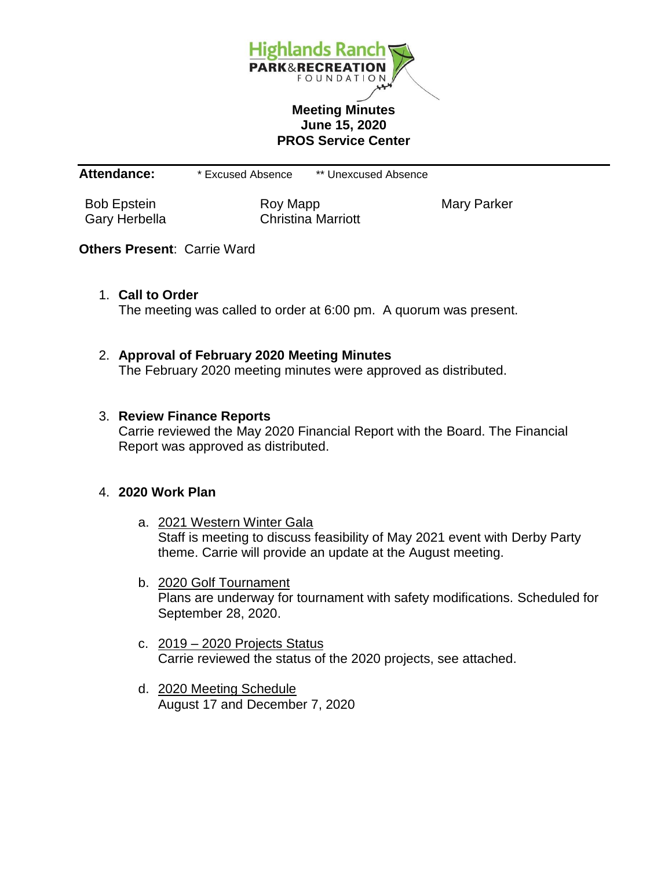

### **Meeting Minutes June 15, 2020 PROS Service Center**

**Attendance:** \* Excused Absence \*\* Unexcused Absence

Bob Epstein **Roy Mapp** Roy Mapp Mary Parker Gary Herbella Christina Marriott

# **Others Present**: Carrie Ward

1. **Call to Order**

The meeting was called to order at 6:00 pm. A quorum was present.

# 2. **Approval of February 2020 Meeting Minutes**

The February 2020 meeting minutes were approved as distributed.

### 3. **Review Finance Reports**

Carrie reviewed the May 2020 Financial Report with the Board. The Financial Report was approved as distributed.

#### 4. **2020 Work Plan**

- a. 2021 Western Winter Gala Staff is meeting to discuss feasibility of May 2021 event with Derby Party theme. Carrie will provide an update at the August meeting.
- b. 2020 Golf Tournament Plans are underway for tournament with safety modifications. Scheduled for September 28, 2020.
- c. 2019 2020 Projects Status Carrie reviewed the status of the 2020 projects, see attached.
- d. 2020 Meeting Schedule August 17 and December 7, 2020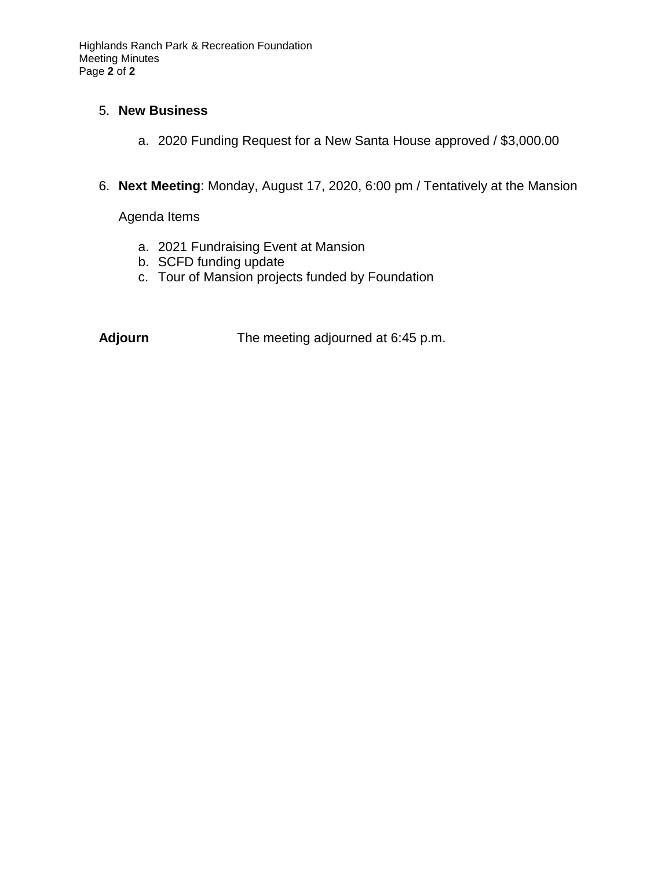### 5. **New Business**

- a. 2020 Funding Request for a New Santa House approved / \$3,000.00
- 6. **Next Meeting**: Monday, August 17, 2020, 6:00 pm / Tentatively at the Mansion

Agenda Items

- a. 2021 Fundraising Event at Mansion
- b. SCFD funding update
- c. Tour of Mansion projects funded by Foundation

**Adjourn** The meeting adjourned at 6:45 p.m.